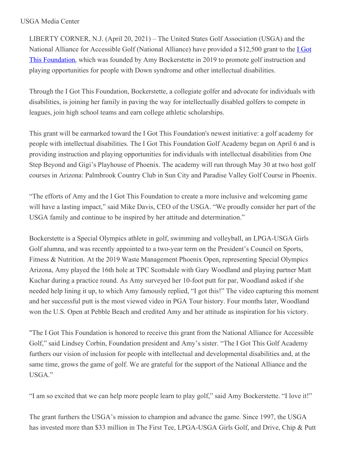## USGA Media Center

LIBERTY CORNER, N.J. (April 20, 2021) – The United States Golf Association (USGA) and the National Alliance for Accessible Golf (National Alliance) have provided a \$12,500 grant to the I Got This Foundation, which was founded by Amy [Bockerstette](https://nam12.safelinks.protection.outlook.com/?url=https%3A%2F%2Fu7061146.ct.sendgrid.net%2Fls%2Fclick%3Fupn%3DTeZUXWpUv-2B6TCY38pVLo9rZzHrZpIJOAD4t-2F5LtSXNBL7ki-2BDJkQz4YkwW7BBZTdoabY_HSsC7-2BnYo6RFmdvmB8WxSwPfE5OKbL5GHwHc1Y4nlbPPqAUA09MWw0ZqmlBCIWIpsv6oZVFU-2BFpp-2ByIjJmvSNCPbPHQxVpAzc6Jgis4IyW5gRKocihIO8MtiSNIUXDnVcB1todgmprPvS99MtpmTLN8KKD04gg-2BNpvRh0zDrWy6WmZIiBEUlDY0TjQNgK-2FglbFuZvY7ty9s3Vrph-2BLgDZ0a1k3Zaz-2BJ8VUsTviVZBUemguypeXExeScEc2QH3O9Hy7-2FXiCO-2BrntPK511BXhwOHR-2FkaRJgOP3aWPbUzSzCGzA2GFAa9aWsPRF5QD3WlrRIZVFaJe07dJKTcxqNrNF4Qb6biuizLsfrjoBLKM0jLs-3D&data=04%7C01%7Cjgeske%40usga.org%7C34dd494356494dd7b48a08d904269097%7C17abf7083a064391bdbd06808d1b9f81%7C0%7C0%7C637545387549899679%7CUnknown%7CTWFpbGZsb3d8eyJWIjoiMC4wLjAwMDAiLCJQIjoiV2luMzIiLCJBTiI6Ik1haWwiLCJXVCI6Mn0%3D%7C3000&sdata=7nGdTF6%2FywejVnbdktZc3SPHOZOEkq4mio%2Fj%2BM2vxuE%3D&reserved=0) in 2019 to promote golf instruction and playing opportunities for people with Down syndrome and other intellectual disabilities.

Through the I Got This Foundation, Bockerstette, a collegiate golfer and advocate for individuals with disabilities, is joining her family in paving the way for intellectually disabled golfers to compete in leagues, join high school teams and earn college athletic scholarships.

This grant will be earmarked toward the I Got This Foundation's newest initiative: a golf academy for people with intellectual disabilities. The I Got This Foundation Golf Academy began on April 6 and is providing instruction and playing opportunities for individuals with intellectual disabilities from One Step Beyond and Gigi's Playhouse of Phoenix. The academy will run through May 30 at two host golf courses in Arizona: Palmbrook Country Club in Sun City and Paradise Valley Golf Course in Phoenix.

"The efforts of Amy and the I Got This Foundation to create a more inclusive and welcoming game will have a lasting impact," said Mike Davis, CEO of the USGA. "We proudly consider her part of the USGA family and continue to be inspired by her attitude and determination."

Bockerstette is a Special Olympics athlete in golf, swimming and volleyball, an LPGA-USGA Girls Golf alumna, and was recently appointed to a two-year term on the President's Council on Sports, Fitness & Nutrition. At the 2019 Waste Management Phoenix Open, representing Special Olympics Arizona, Amy played the 16th hole at TPC Scottsdale with Gary Woodland and playing partner Matt Kuchar during a practice round. As Amy surveyed her 10-foot putt for par, Woodland asked if she needed help lining it up, to which Amy famously replied, "I got this!" The video capturing this moment and her successful putt is the most viewed video in PGA Tour history. Four months later, Woodland won the U.S. Open at Pebble Beach and credited Amy and her attitude as inspiration for his victory.

"The I Got This Foundation is honored to receive this grant from the National Alliance for Accessible Golf," said Lindsey Corbin, Foundation president and Amy's sister. "The I Got This Golf Academy furthers our vision of inclusion for people with intellectual and developmental disabilities and, at the same time, grows the game of golf. We are grateful for the support of the National Alliance and the USGA."

"I am so excited that we can help more people learn to play golf," said Amy Bockerstette. "I love it!"

The grant furthers the USGA's mission to champion and advance the game. Since 1997, the USGA has invested more than \$33 million in The First Tee, LPGA-USGA Girls Golf, and Drive, Chip & Putt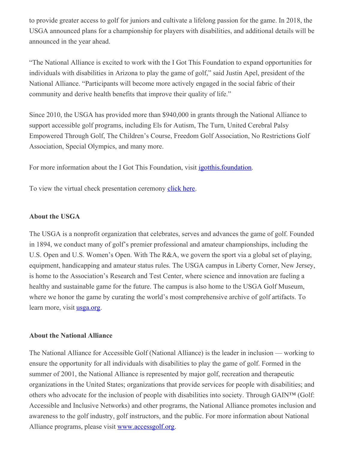to provide greater access to golf for juniors and cultivate a lifelong passion for the game. In 2018, the USGA announced plans for a championship for players with disabilities, and additional details will be announced in the year ahead.

"The National Alliance is excited to work with the I Got This Foundation to expand opportunities for individuals with disabilities in Arizona to play the game of golf," said Justin Apel, president of the National Alliance. "Participants will become more actively engaged in the social fabric of their community and derive health benefits that improve their quality of life."

Since 2010, the USGA has provided more than \$940,000 in grants through the National Alliance to support accessible golf programs, including Els for Autism, The Turn, United Cerebral Palsy Empowered Through Golf, The Children's Course, Freedom Golf Association, No Restrictions Golf Association, Special Olympics, and many more.

For more information about the I Got This Foundation, visit [igotthis.foundation](https://nam12.safelinks.protection.outlook.com/?url=https%3A%2F%2Fu7061146.ct.sendgrid.net%2Fls%2Fclick%3Fupn%3DTeZUXWpUv-2B6TCY38pVLo9rZzHrZpIJOAD4t-2F5LtSXNAZBxFeRa7-2FyP1e1lf5PNWjcCW7_HSsC7-2BnYo6RFmdvmB8WxSwPfE5OKbL5GHwHc1Y4nlbPPqAUA09MWw0ZqmlBCIWIpsv6oZVFU-2BFpp-2ByIjJmvSNCPbPHQxVpAzc6Jgis4IyW5gRKocihIO8MtiSNIUXDnVcB1todgmprPvS99MtpmTLN8KKD04gg-2BNpvRh0zDrWy6WmZIiBEUlDY0TjQNgK-2FglZWYZt0k-2BQvxMOTLDP6MNawo9FLJaLhg-2FqObXBl81P4k76V5DzlAoneD6U6ZsjvTH74CtZqJCGm9yKOR5Ied7gyoccp5efthSwhreapxj1Tp7nJ1T9v2MXEcLhllME-2F7ym4WG8AIP5g03tprcMm6-2BiqKkQOiLagay51nuIwufnHk-3D&data=04%7C01%7Cjgeske%40usga.org%7C34dd494356494dd7b48a08d904269097%7C17abf7083a064391bdbd06808d1b9f81%7C0%7C0%7C637545387549909678%7CUnknown%7CTWFpbGZsb3d8eyJWIjoiMC4wLjAwMDAiLCJQIjoiV2luMzIiLCJBTiI6Ik1haWwiLCJXVCI6Mn0%3D%7C3000&sdata=9Rk6xrpWTGDQcTmPv6VBGZBYV%2BL8HG0mwTnFz9qKJNk%3D&reserved=0).

To view the virtual check presentation ceremony [click](https://nam12.safelinks.protection.outlook.com/?url=https%3A%2F%2Fu7061146.ct.sendgrid.net%2Fls%2Fclick%3Fupn%3D4tNED-2FM8iDZJQyQ53jATUWgRE384tHgp8wdcDkAUwQ-2B6mRLqRrPOC-2BgioMX0T3enhQB4OmAINHez7UUJ60iq3g-3D-3Dk8Nb_HSsC7-2BnYo6RFmdvmB8WxSwPfE5OKbL5GHwHc1Y4nlbPPqAUA09MWw0ZqmlBCIWIpsv6oZVFU-2BFpp-2ByIjJmvSNCPbPHQxVpAzc6Jgis4IyW5gRKocihIO8MtiSNIUXDnVcB1todgmprPvS99MtpmTLN8KKD04gg-2BNpvRh0zDrWy6WmZIiBEUlDY0TjQNgK-2Fgl54sz4rG2yrGiaxPIb-2FQyeN5T-2B6MvItxiDFCTVMDTviSEW1MlUTcWaf4q2caQlErxrDxEsodhhgPq8H-2FNceOB7pipmMV1ZeQx29E4WNuDp4x-2BQAuoYpA3oqbLIVw9ODJr3B3Ilnh8054eZapMxOhiSZ8LPeAj8fQwPA1KKGfpO5o-3D&data=04%7C01%7Cjgeske%40usga.org%7C34dd494356494dd7b48a08d904269097%7C17abf7083a064391bdbd06808d1b9f81%7C0%7C0%7C637545387549919672%7CUnknown%7CTWFpbGZsb3d8eyJWIjoiMC4wLjAwMDAiLCJQIjoiV2luMzIiLCJBTiI6Ik1haWwiLCJXVCI6Mn0%3D%7C3000&sdata=uEuLvsYUVRoJHcYGKJBn5DeGyoVsTTkPYmtB8eEELJk%3D&reserved=0) here.

## **About the USGA**

The USGA is a nonprofit organization that celebrates, serves and advances the game of golf. Founded in 1894, we conduct many of golf's premier professional and amateur championships, including the U.S. Open and U.S. Women's Open. With The R&A, we govern the sport via a global set of playing, equipment, handicapping and amateur status rules. The USGA campus in Liberty Corner, New Jersey, is home to the Association's Research and Test Center, where science and innovation are fueling a healthy and sustainable game for the future. The campus is also home to the USGA Golf Museum, where we honor the game by curating the world's most comprehensive archive of golf artifacts. To learn more, visit **[usga.org](https://nam12.safelinks.protection.outlook.com/?url=https%3A%2F%2Fu7061146.ct.sendgrid.net%2Fls%2Fclick%3Fupn%3D4tNED-2FM8iDZJQyQ53jATUZyJRYlC2DedoMdkyyJOW6gEUwpGYHnbuOoRAxMvjoI8sUE3I3Fvf2Fuufmxj0BUqcal8lFVw2Ek24vaKBF3-2Bsgm5Ng4En6FBsk-2Bktl7izWBLy2IAmKxXE-2F7bTOTcq8dQCbrPGvMJOfrtFP-2BRzxoviU-3DEeoi_HSsC7-2BnYo6RFmdvmB8WxSwPfE5OKbL5GHwHc1Y4nlbPPqAUA09MWw0ZqmlBCIWIpsv6oZVFU-2BFpp-2ByIjJmvSNCPbPHQxVpAzc6Jgis4IyW5gRKocihIO8MtiSNIUXDnVcB1todgmprPvS99MtpmTLN8KKD04gg-2BNpvRh0zDrWy6WmZIiBEUlDY0TjQNgK-2Fglc-2BYuGlilsgP6QEd0zVZmYOI1Dep5kjcovaxd6ISEE-2F5DSQpeL0cVZyo8j-2BIodLFVjcsDXGXOc3-2Fxx8FROCrYdP2mNcdHYDKS4SvclBImpmOTX3D783j6BBawLvMtaI1gqMa1RF-2B85kLkiV1ajKHhvId7qf64Hxt8sn5nU6ukrus-3D&data=04%7C01%7Cjgeske%40usga.org%7C34dd494356494dd7b48a08d904269097%7C17abf7083a064391bdbd06808d1b9f81%7C0%7C0%7C637545387549919672%7CUnknown%7CTWFpbGZsb3d8eyJWIjoiMC4wLjAwMDAiLCJQIjoiV2luMzIiLCJBTiI6Ik1haWwiLCJXVCI6Mn0%3D%7C3000&sdata=lcVDZoM6odtJzQCoM3JrxlOUtiMH27848tsneGfV2mE%3D&reserved=0)**.

## **About the National Alliance**

The National Alliance for Accessible Golf (National Alliance) is the leader in inclusion — working to ensure the opportunity for all individuals with disabilities to play the game of golf. Formed in the summer of 2001, the National Alliance is represented by major golf, recreation and therapeutic organizations in the United States; organizations that provide services for people with disabilities; and others who advocate for the inclusion of people with disabilities into society. Through GAIN™ (Golf: Accessible and Inclusive Networks) and other programs, the National Alliance promotes inclusion and awareness to the golf industry, golf instructors, and the public. For more information about National Alliance programs, please visit [www.accessgolf.org](https://nam12.safelinks.protection.outlook.com/?url=https%3A%2F%2Fu7061146.ct.sendgrid.net%2Fls%2Fclick%3Fupn%3DTeZUXWpUv-2B6TCY38pVLo9pGzGM28UdC-2BOoV6XQKTJFPv7gnPJG6ExpJ-2BDBJOBknvR6Cn_HSsC7-2BnYo6RFmdvmB8WxSwPfE5OKbL5GHwHc1Y4nlbPPqAUA09MWw0ZqmlBCIWIpsv6oZVFU-2BFpp-2ByIjJmvSNCPbPHQxVpAzc6Jgis4IyW5gRKocihIO8MtiSNIUXDnVcB1todgmprPvS99MtpmTLN8KKD04gg-2BNpvRh0zDrWy6WmZIiBEUlDY0TjQNgK-2FglrS2itsPP9HMkozd0QMi7gccExXd1nhfPhAhqA7p30H-2BD83bc4yrzJ6f6dQErjaat9-2F0fjYrKgK4o3b1fDb98oqCiHdFslyRARR8IprJ92cvyD7VAO6w7Xoh-2BzcvFZKUFuet7zYrEQwrdGF3uCjGqoMYWWdSKBdH55wieFDs8-2BqU-3D&data=04%7C01%7Cjgeske%40usga.org%7C34dd494356494dd7b48a08d904269097%7C17abf7083a064391bdbd06808d1b9f81%7C0%7C0%7C637545387549929667%7CUnknown%7CTWFpbGZsb3d8eyJWIjoiMC4wLjAwMDAiLCJQIjoiV2luMzIiLCJBTiI6Ik1haWwiLCJXVCI6Mn0%3D%7C3000&sdata=hZZfA0IapRmw0RN1A4VHFUHbR%2BjzXSuitwsW1l6jUpw%3D&reserved=0).